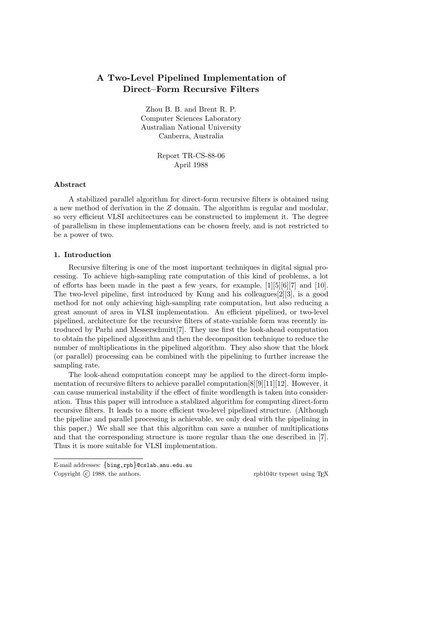# A Two-Level Pipelined Implementation of Direct–Form Recursive Filters

Zhou B. B. and Brent R. P. Computer Sciences Laboratory Australian National University Canberra, Australia

> Report TR-CS-88-06 April 1988

# Abstract

A stabilized parallel algorithm for direct-form recursive filters is obtained using a new method of derivation in the Z domain. The algorithm is regular and modular, so very efficient VLSI architectures can be constructed to implement it. The degree of parallelism in these implementations can be chosen freely, and is not restricted to be a power of two.

# 1. Introduction

Recursive filtering is one of the most important techniques in digital signal processing. To achieve high-sampling rate computation of this kind of problems, a lot of efforts has been made in the past a few years, for example, [1][5][6][7] and [10]. The two-level pipeline, first introduced by Kung and his colleagues[2][3], is a good method for not only achieving high-sampling rate computation, but also reducing a great amount of area in VLSI implementation. An efficient pipelined, or two-level pipelined, architecture for the recursive filters of state-variable form was recently introduced by Parhi and Messerschmitt[7]. They use first the look-ahead computation to obtain the pipelined algorithm and then the decomposition technique to reduce the number of multiplications in the pipelined algorithm. They also show that the block (or parallel) processing can be combined with the pipelining to further increase the sampling rate.

The look-ahead computation concept may be applied to the direct-form implementation of recursive filters to achieve parallel computation  $[8][9][11][12]$ . However, it can cause numerical instability if the effect of finite wordlength is taken into consideration. Thus this paper will introduce a stablized algorithm for computing direct-form recursive filters. It leads to a more efficient two-level pipelined structure. (Although the pipeline and parallel processing is achievable, we only deal with the pipelining in this paper.) We shall see that this algorithm can save a number of multiplications and that the corresponding structure is more regular than the one described in [7]. Thus it is more suitable for VLSI implementation.

E-mail addresses: {bing,rpb}@cslab.anu.edu.au Copyright (c) 1988, the authors. The contract of the contract of the contract of the contract of the contract of the contract of the contract of the contract of the contract of the contract of the contract of the contract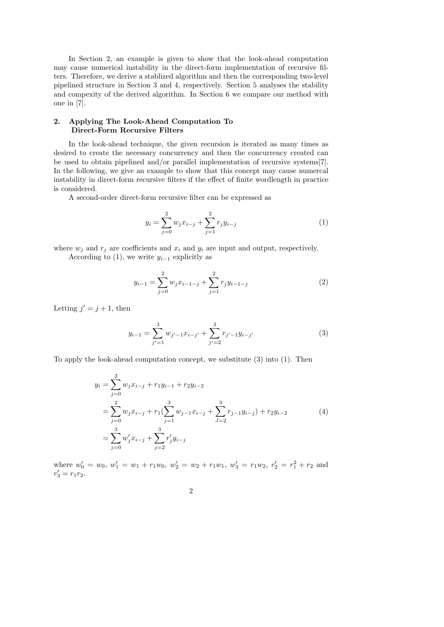In Section 2, an example is given to show that the look-ahead computation may cause numerical instability in the direct-form implementation of recursive filters. Therefore, we derive a stablized algorithm and then the corresponding two-level pipelined structure in Section 3 and 4, respectively. Section 5 analyses the stability and compexity of the derived algorithm. In Section 6 we compare our method with one in [7].

# 2. Applying The Look-Ahead Computation To Direct-Form Recursive Filters

In the look-ahead technique, the given recursion is iterated as many times as desired to create the necessary concurrency and then the concurrency created can be used to obtain pipelined and/or parallel implementation of recursive systems[7]. In the following, we give an example to show that this concept may cause numercal instability in direct-form recursive filters if the effect of finite wordlength in practice is considered.

A second-order direct-form recursive filter can be expressed as

$$
y_i = \sum_{j=0}^{2} w_j x_{i-j} + \sum_{j=1}^{2} r_j y_{i-j}
$$
 (1)

where  $w_i$  and  $r_i$  are coefficients and  $x_i$  and  $y_i$  are input and output, respectively.

According to (1), we write  $y_{i-1}$  explicitly as

$$
y_{i-1} = \sum_{j=0}^{2} w_j x_{i-1-j} + \sum_{j=1}^{2} r_j y_{i-1-j}
$$
 (2)

Letting  $j' = j + 1$ , then

$$
y_{i-1} = \sum_{j'=1}^{3} w_{j'-1} x_{i-j'} + \sum_{j'=2}^{3} r_{j'-1} y_{i-j'}
$$
 (3)

To apply the look-ahead computation concept, we substitute (3) into (1). Then

$$
y_i = \sum_{j=0}^{2} w_j x_{i-j} + r_1 y_{i-1} + r_2 y_{i-2}
$$
  
= 
$$
\sum_{j=0}^{2} w_j x_{i-j} + r_1 (\sum_{j=1}^{3} w_{j-1} x_{i-j} + \sum_{J=2}^{3} r_{j-1} y_{i-j}) + r_2 y_{i-2}
$$
  
= 
$$
\sum_{j=0}^{3} w'_j x_{i-j} + \sum_{j=2}^{3} r'_j y_{i-j}
$$
 (4)

where  $w'_0 = w_0, w'_1 = w_1 + r_1w_0, w'_2 = w_2 + r_1w_1, w'_3 = r_1w_2, r'_2 = r_1^2 + r_2$  and  $r'_3 = r_1 r_2^{\circ}$ .

$$
2 \\
$$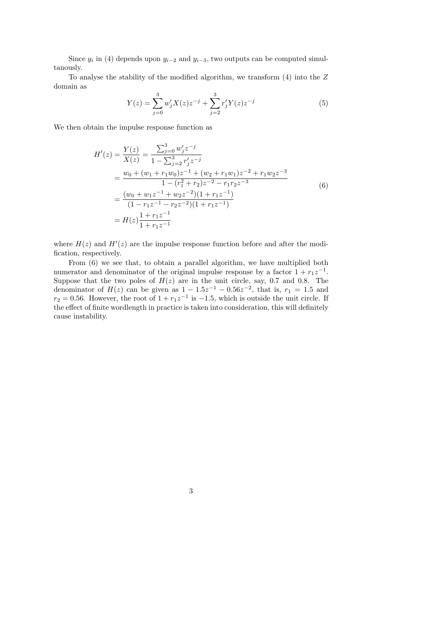Since  $y_i$  in (4) depends upon  $y_{i-2}$  and  $y_{i-3}$ , two outputs can be computed simultanously.

To analyse the stability of the modified algorithm, we transform (4) into the Z domain as

$$
Y(z) = \sum_{j=0}^{3} w'_j X(z) z^{-j} + \sum_{j=2}^{3} r'_j Y(z) z^{-j}
$$
 (5)

We then obtain the impulse response function as

$$
H'(z) = \frac{Y(z)}{X(z)} = \frac{\sum_{j=0}^{3} w'_j z^{-j}}{1 - \sum_{j=2}^{3} r'_j z^{-j}}
$$
  
= 
$$
\frac{w_0 + (w_1 + r_1 w_0) z^{-1} + (w_2 + r_1 w_1) z^{-2} + r_1 w_2 z^{-3}}{1 - (r_1^2 + r_2) z^{-2} - r_1 r_2 z^{-3}}
$$
  
= 
$$
\frac{(w_0 + w_1 z^{-1} + w_2 z^{-2})(1 + r_1 z^{-1})}{(1 - r_1 z^{-1} - r_2 z^{-2})(1 + r_1 z^{-1})}
$$
  
= 
$$
H(z) \frac{1 + r_1 z^{-1}}{1 + r_1 z^{-1}}
$$
 (6)

where  $H(z)$  and  $H'(z)$  are the impulse response function before and after the modification, respectively.

From (6) we see that, to obtain a parallel algorithm, we have multiplied both numerator and denominator of the original impulse response by a factor  $1 + r_1 z^{-1}$ . Suppose that the two poles of  $H(z)$  are in the unit circle, say, 0.7 and 0.8. The denominator of  $H(z)$  can be given as  $1 - 1.5z^{-1} - 0.56z^{-2}$ , that is,  $r_1 = 1.5$  and  $r_2 = 0.56$ . However, the root of  $1 + r_1 z^{-1}$  is  $-1.5$ , which is outside the unit circle. If the effect of finite wordlength in practice is taken into consideration, this will definitely cause instability.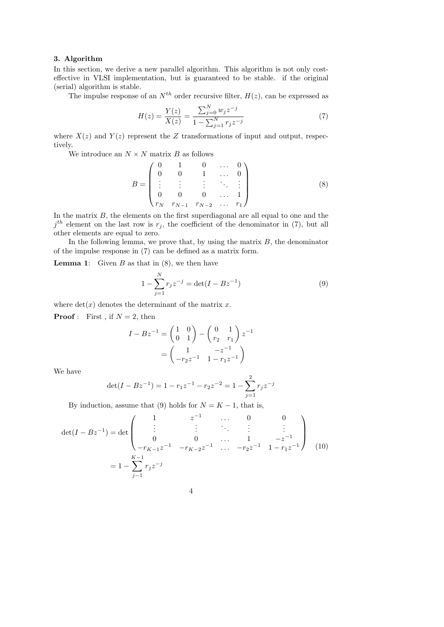# 3. Algorithm

In this section, we derive a new parallel algorithm. This algorithm is not only costeffective in VLSI implementation, but is guaranteed to be stable. if the original (serial) algorithm is stable.

The impulse response of an  $N^{th}$  order recursive filter,  $H(z)$ , can be expressed as

$$
H(z) = \frac{Y(z)}{X(z)} = \frac{\sum_{j=0}^{N} w_j z^{-j}}{1 - \sum_{j=1}^{N} r_j z^{-j}}
$$
(7)

where  $X(z)$  and  $Y(z)$  represent the Z transformations of input and output, respectively.

We introduce an  $N \times N$  matrix  $B$  as follows

$$
B = \begin{pmatrix} 0 & 1 & 0 & \dots & 0 \\ 0 & 0 & 1 & \dots & 0 \\ \vdots & \vdots & \vdots & \ddots & \vdots \\ 0 & 0 & 0 & \dots & 1 \\ r_N & r_{N-1} & r_{N-2} & \dots & r_1 \end{pmatrix}
$$
 (8)

In the matrix  $B$ , the elements on the first superdiagonal are all equal to one and the  $j<sup>th</sup>$  element on the last row is  $r_j$ , the coefficient of the denominator in (7), but all other elements are equal to zero.

In the following lemma, we prove that, by using the matrix  $B$ , the denominator of the impulse response in (7) can be defined as a matrix form.

**Lemma 1:** Given  $B$  as that in  $(8)$ , we then have

$$
1 - \sum_{j=1}^{N} r_j z^{-j} = \det(I - Bz^{-1})
$$
\n(9)

where  $\det(x)$  denotes the determinant of the matrix x.

**Proof**: First, if  $N = 2$ , then

$$
I - Bz^{-1} = \begin{pmatrix} 1 & 0 \\ 0 & 1 \end{pmatrix} - \begin{pmatrix} 0 & 1 \\ r_2 & r_1 \end{pmatrix} z^{-1}
$$

$$
= \begin{pmatrix} 1 & -z^{-1} \\ -r_2 z^{-1} & 1 - r_1 z^{-1} \end{pmatrix}
$$

We have

$$
\det(I - Bz^{-1}) = 1 - r_1 z^{-1} - r_2 z^{-2} = 1 - \sum_{j=1}^{2} r_j z^{-j}
$$

By induction, assume that (9) holds for  $N = K - 1$ , that is,

$$
\det(I - Bz^{-1}) = \det \begin{pmatrix} 1 & z^{-1} & \cdots & 0 & 0 \\ \vdots & \vdots & \ddots & \vdots & \vdots \\ 0 & 0 & \cdots & 1 & -z^{-1} \\ -r_{K-1}z^{-1} & -r_{K-2}z^{-1} & \cdots & -r_{2}z^{-1} & 1-r_{1}z^{-1} \end{pmatrix}
$$
(10)  
=  $1 - \sum_{j=1}^{K-1} r_{j} z^{-j}$ 

$$
4\phantom{.0}
$$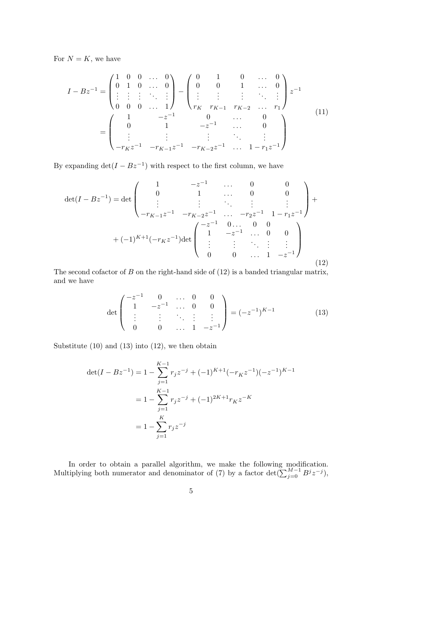For  $N = K$ , we have

$$
I - Bz^{-1} = \begin{pmatrix} 1 & 0 & 0 & \dots & 0 \\ 0 & 1 & 0 & \dots & 0 \\ \vdots & \vdots & \vdots & \ddots & \vdots \\ 0 & 0 & 0 & \dots & 1 \end{pmatrix} - \begin{pmatrix} 0 & 1 & 0 & \dots & 0 \\ 0 & 0 & 1 & \dots & 0 \\ \vdots & \vdots & \vdots & \ddots & \vdots \\ r_K & r_{K-1} & r_{K-2} & \dots & r_1 \end{pmatrix} z^{-1}
$$

$$
= \begin{pmatrix} 1 & -z^{-1} & 0 & \dots & 0 \\ 0 & 1 & -z^{-1} & \dots & 0 \\ \vdots & \vdots & \vdots & \ddots & \vdots \\ -r_K z^{-1} & -r_{K-1} z^{-1} & -r_{K-2} z^{-1} & \dots & 1 - r_1 z^{-1} \end{pmatrix}
$$
(11)

By expanding  $\det(I - Bz^{-1})$  with respect to the first column, we have

$$
\det(I - Bz^{-1}) = \det \begin{pmatrix} 1 & -z^{-1} & \cdots & 0 & 0 \\ 0 & 1 & \cdots & 0 & 0 \\ \vdots & \vdots & \ddots & \vdots & \vdots \\ -r_{K-1}z^{-1} & -r_{K-2}z^{-1} & \cdots & -r_{2}z^{-1} & 1 - r_{1}z^{-1} \end{pmatrix} + (-1)^{K+1}(-r_{K}z^{-1})\det \begin{pmatrix} -z^{-1} & 0 & \cdots & 0 & 0 \\ 1 & -z^{-1} & \cdots & 0 & 0 \\ \vdots & \vdots & \ddots & \vdots & \vdots \\ 0 & 0 & \cdots & 1 & -z^{-1} \end{pmatrix}
$$
(12)

The second cofactor of  $B$  on the right-hand side of  $(12)$  is a banded triangular matrix, and we have

$$
\det\begin{pmatrix} -z^{-1} & 0 & \dots & 0 & 0\\ 1 & -z^{-1} & \dots & 0 & 0\\ \vdots & \vdots & \ddots & \vdots & \vdots\\ 0 & 0 & \dots & 1 & -z^{-1} \end{pmatrix} = (-z^{-1})^{K-1}
$$
(13)

Substitute  $(10)$  and  $(13)$  into  $(12)$ , we then obtain

$$
\det(I - Bz^{-1}) = 1 - \sum_{j=1}^{K-1} r_j z^{-j} + (-1)^{K+1} (-r_K z^{-1}) (-z^{-1})^{K-1}
$$

$$
= 1 - \sum_{j=1}^{K-1} r_j z^{-j} + (-1)^{2K+1} r_K z^{-K}
$$

$$
= 1 - \sum_{j=1}^{K} r_j z^{-j}
$$

In order to obtain a parallel algorithm, we make the following modification. Multiplying both numerator and denominator of (7) by a factor det $(\sum_{j=0}^{M-1} B^j z^{-j})$ ,

$$
\boldsymbol{5}
$$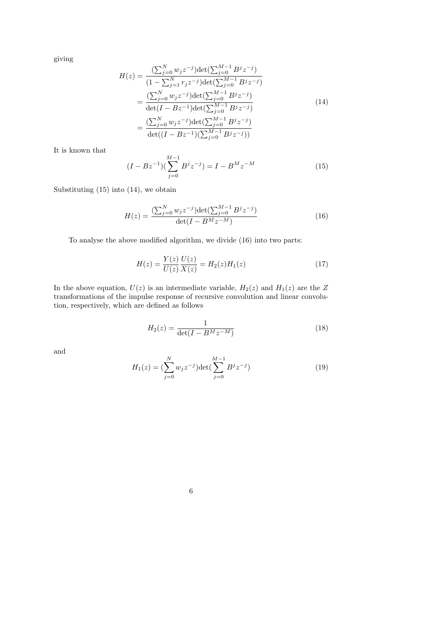giving

$$
H(z) = \frac{\left(\sum_{j=0}^{N} w_j z^{-j}\right) \det\left(\sum_{j=0}^{M-1} B^j z^{-j}\right)}{\left(1 - \sum_{j=1}^{N} r_j z^{-j}\right) \det\left(\sum_{j=0}^{M-1} B^j z^{-j}\right)}
$$
  
= 
$$
\frac{\left(\sum_{j=0}^{N} w_j z^{-j}\right) \det\left(\sum_{j=0}^{M-1} B^j z^{-j}\right)}{\det(I - B z^{-1}) \det\left(\sum_{j=0}^{M-1} B^j z^{-j}\right)}
$$
  
= 
$$
\frac{\left(\sum_{j=0}^{N} w_j z^{-j}\right) \det\left(\sum_{j=0}^{M-1} B^j z^{-j}\right)}{\det((I - B z^{-1})(\sum_{j=0}^{M-1} B^j z^{-j}))}
$$
 (14)

It is known that

$$
(I - Bz^{-1})(\sum_{j=0}^{M-1} B^j z^{-j}) = I - B^M z^{-M}
$$
 (15)

Substituting (15) into (14), we obtain

$$
H(z) = \frac{\left(\sum_{j=0}^{N} w_j z^{-j}\right) \det\left(\sum_{j=0}^{M-1} B^j z^{-j}\right)}{\det(I - B^M z^{-M})}
$$
(16)

To analyse the above modified algorithm, we divide (16) into two parts:

$$
H(z) = \frac{Y(z)}{U(z)} \frac{U(z)}{X(z)} = H_2(z)H_1(z)
$$
\n(17)

In the above equation,  $U(z)$  is an intermediate variable,  $H_2(z)$  and  $H_1(z)$  are the Z transformations of the impulse response of recursive convolution and linear convolution, respectively, which are defined as follows

$$
H_2(z) = \frac{1}{\det(I - B^M z^{-M})}
$$
\n(18)

and

$$
H_1(z) = \left(\sum_{j=0}^{N} w_j z^{-j}\right) \det\left(\sum_{j=0}^{M-1} B^j z^{-j}\right)
$$
 (19)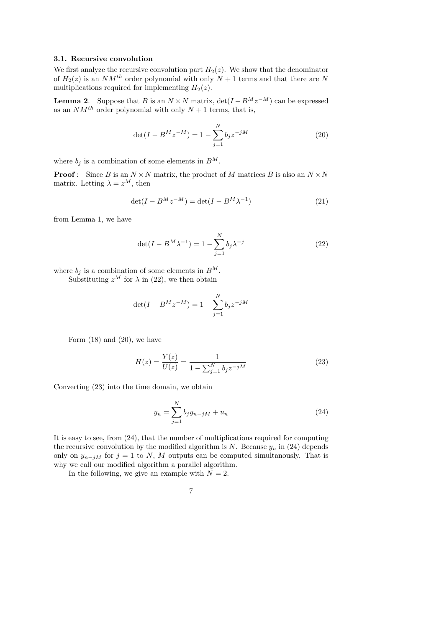# 3.1. Recursive convolution

We first analyze the recursive convolution part  $H_2(z)$ . We show that the denominator of  $H_2(z)$  is an  $NM^{th}$  order polynomial with only  $N+1$  terms and that there are N multiplications required for implementing  $H_2(z)$ .

**Lemma 2.** Suppose that B is an  $N \times N$  matrix,  $\det(I - B^M z^{-M})$  can be expressed as an  $NM^{th}$  order polynomial with only  $N+1$  terms, that is,

$$
\det(I - B^M z^{-M}) = 1 - \sum_{j=1}^{N} b_j z^{-jM}
$$
 (20)

where  $b_j$  is a combination of some elements in  $B^M$ .

**Proof**: Since B is an  $N \times N$  matrix, the product of M matrices B is also an  $N \times N$ matrix. Letting  $\lambda = z^M$ , then

$$
\det(I - B^M z^{-M}) = \det(I - B^M \lambda^{-1})
$$
\n(21)

from Lemma 1, we have

$$
\det(I - B^M \lambda^{-1}) = 1 - \sum_{j=1}^N b_j \lambda^{-j}
$$
 (22)

where  $b_j$  is a combination of some elements in  $B^M$ .

Substituting  $z^M$  for  $\lambda$  in (22), we then obtain

$$
\det(I - B^M z^{-M}) = 1 - \sum_{j=1}^{N} b_j z^{-jM}
$$

Form  $(18)$  and  $(20)$ , we have

$$
H(z) = \frac{Y(z)}{U(z)} = \frac{1}{1 - \sum_{j=1}^{N} b_j z^{-jM}}
$$
\n(23)

Converting (23) into the time domain, we obtain

$$
y_n = \sum_{j=1}^{N} b_j y_{n-j} + u_n \tag{24}
$$

It is easy to see, from (24), that the number of multiplications required for computing the recursive convolution by the modified algorithm is N. Because  $y_n$  in (24) depends only on  $y_{n-jM}$  for  $j = 1$  to N, M outputs can be computed simultanously. That is why we call our modified algorithm a parallel algorithm.

In the following, we give an example with  $N = 2$ .

$$
7\,
$$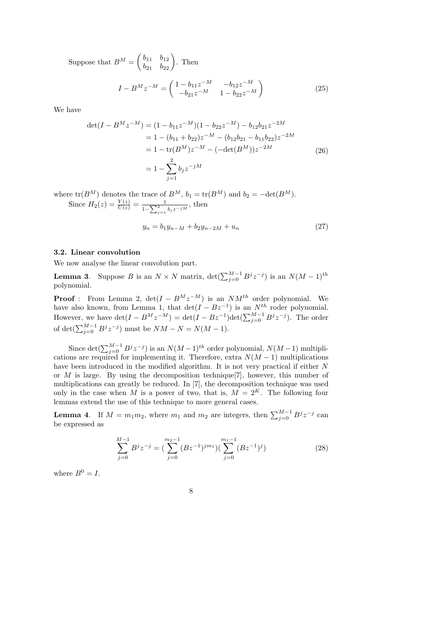Suppose that  $B^{M} = \begin{pmatrix} b_{11} & b_{12} \\ b_{21} & b_{22} \end{pmatrix}$ . Then

$$
I - B^{M} z^{-M} = \begin{pmatrix} 1 - b_{11} z^{-M} & -b_{12} z^{-M} \\ -b_{21} z^{-M} & 1 - b_{22} z^{-M} \end{pmatrix}
$$
 (25)

We have

$$
\det(I - B^M z^{-M}) = (1 - b_{11}z^{-M})(1 - b_{22}z^{-M}) - b_{12}b_{21}z^{-2M}
$$
  
= 1 - (b\_{11} + b\_{22})z^{-M} - (b\_{12}b\_{21} - b\_{11}b\_{22})z^{-2M}  
= 1 - tr(B^M)z^{-M} - (-det(B^M))z^{-2M} (26)  
= 1 - \sum\_{j=1}^2 b\_j z^{-jM}

where  $tr(B^M)$  denotes the trace of  $B^M$ ,  $b_1 = tr(B^M)$  and  $b_2 = -det(B^M)$ . Since  $H_2(z) = \frac{Y(z)}{U(z)} = \frac{1}{1-\sum_{i=1}^{2}$  $\frac{1}{1-\sum_{j=1}^2 b_j z^{-jM}}$ , then

$$
y_n = b_1 y_{n-M} + b_2 y_{n-2M} + u_n \tag{27}
$$

#### 3.2. Linear convolution

We now analyse the linear convolution part.

**Lemma 3.** Suppose B is an  $N \times N$  matrix,  $\det(\sum_{j=0}^{M-1} B^j z^{-j})$  is an  $N(M-1)^{th}$ polynomial.

**Proof**: From Lemma 2,  $det(I - B^M z^{-M})$  is an  $NM^{th}$  order polynomial. We have also known, from Lemma 1, that  $\det(I - Bz^{-1})$  is an  $N^{th}$  roder polynomial. However, we have  $\det(I - B^M z^{-M}) = \det(I - B z^{-1}) \det(\sum_{j=0}^{M-1} B^j z^{-j}).$  The order of  $\det(\sum_{j=0}^{M-1} B^j z^{-j})$  must be  $NM - N = N(M - 1)$ .

Since  $\det(\sum_{j=0}^{M-1} B^j z^{-j})$  is an  $N(M-1)$ <sup>th</sup> order polynomial,  $N(M-1)$  multiplications are required for implementing it. Therefore, extra  $N(M-1)$  multiplications have been introduced in the modified algorithm. It is not very practical if either N or  $M$  is large. By using the decomposition technique  $[7]$ , however, this number of multiplications can greatly be reduced. In [7], the decomposition technique was used only in the case when M is a power of two, that is,  $M = 2<sup>K</sup>$ . The following four lemmas extend the use of this technique to more general cases.

**Lemma 4.** If  $M = m_1 m_2$ , where  $m_1$  and  $m_2$  are integers, then  $\sum_{j=0}^{M-1} B^j z^{-j}$  can be expressed as

$$
\sum_{j=0}^{M-1} B^j z^{-j} = \left(\sum_{j=0}^{m_2-1} (B z^{-1})^{jm_1}\right) \left(\sum_{j=0}^{m_1-1} (B z^{-1})^j\right) \tag{28}
$$

where  $B^0 = I$ .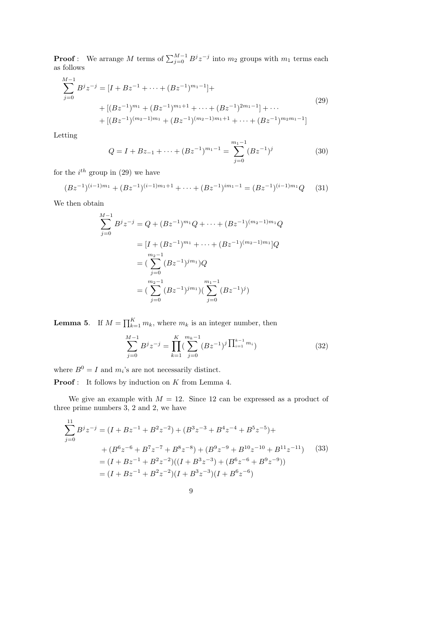**Proof**: We arrange M terms of  $\sum_{j=0}^{M-1} B^j z^{-j}$  into  $m_2$  groups with  $m_1$  terms each as follows

$$
\sum_{j=0}^{M-1} B^j z^{-j} = [I + Bz^{-1} + \dots + (Bz^{-1})^{m_1-1}] +
$$
  
+ 
$$
[(Bz^{-1})^{m_1} + (Bz^{-1})^{m_1+1} + \dots + (Bz^{-1})^{2m_1-1}] + \dots
$$
  
+ 
$$
[(Bz^{-1})^{(m_2-1)m_1} + (Bz^{-1})^{(m_2-1)m_1+1} + \dots + (Bz^{-1})^{m_2m_1-1}]
$$

$$
(29)
$$

Letting

$$
Q = I + Bz_{-1} + \dots + (Bz^{-1})^{m_1 - 1} = \sum_{j=0}^{m_1 - 1} (Bz^{-1})^j
$$
(30)

for the  $i^{th}$  group in (29) we have

$$
(Bz^{-1})^{(i-1)m_1} + (Bz^{-1})^{(i-1)m_1+1} + \dots + (Bz^{-1})^{im_1-1} = (Bz^{-1})^{(i-1)m_1}Q \qquad (31)
$$

We then obtain

$$
\sum_{j=0}^{M-1} B^j z^{-j} = Q + (Bz^{-1})^{m_1} Q + \dots + (Bz^{-1})^{(m_2-1)m_1} Q
$$
  
=  $[I + (Bz^{-1})^{m_1} + \dots + (Bz^{-1})^{(m_2-1)m_1}]Q$   
=  $(\sum_{j=0}^{m_2-1} (Bz^{-1})^{jm_1})Q$   
=  $(\sum_{j=0}^{m_2-1} (Bz^{-1})^{jm_1}) (\sum_{j=0}^{m_1-1} (Bz^{-1})^j)$ 

**Lemma 5.** If  $M = \prod_{k=1}^{K} m_k$ , where  $m_k$  is an integer number, then

$$
\sum_{j=0}^{M-1} B^j z^{-j} = \prod_{k=1}^K \left( \sum_{j=0}^{m_k - 1} (B z^{-1})^j \prod_{i=1}^{k-1} m_i \right)
$$
(32)

where  $B^0 = I$  and  $m_i$ 's are not necessarily distinct.

Proof : It follows by induction on K from Lemma 4.

We give an example with  $M = 12$ . Since 12 can be expressed as a product of three prime numbers 3, 2 and 2, we have

$$
\sum_{j=0}^{11} B^{j} z^{-j} = (I + Bz^{-1} + B^{2} z^{-2}) + (B^{3} z^{-3} + B^{4} z^{-4} + B^{5} z^{-5}) +
$$
  
+ 
$$
(B^{6} z^{-6} + B^{7} z^{-7} + B^{8} z^{-8}) + (B^{9} z^{-9} + B^{10} z^{-10} + B^{11} z^{-11})
$$
 (33)  
= 
$$
(I + Bz^{-1} + B^{2} z^{-2})((I + B^{3} z^{-3}) + (B^{6} z^{-6} + B^{9} z^{-9}))
$$
  
= 
$$
(I + Bz^{-1} + B^{2} z^{-2})(I + B^{3} z^{-3})(I + B^{6} z^{-6})
$$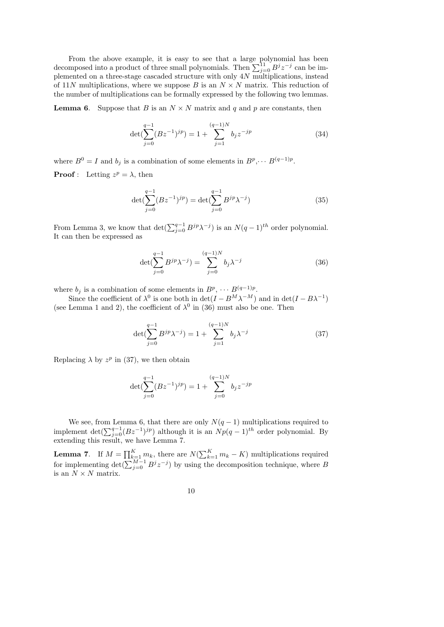From the above example, it is easy to see that a large polynomial has been decomposed into a product of three small polynomials. Then  $\sum_{j=0}^{11} B^j z^{-j}$  can be implemented on a three-stage cascaded structure with only 4N multiplications, instead of 11N multiplications, where we suppose B is an  $N \times N$  matrix. This reduction of the number of multiplications can be formally expressed by the following two lemmas.

**Lemma 6.** Suppose that B is an  $N \times N$  matrix and q and p are constants, then

$$
\det(\sum_{j=0}^{q-1} (Bz^{-1})^{jp}) = 1 + \sum_{j=1}^{(q-1)N} b_j z^{-jp}
$$
 (34)

where  $B^0 = I$  and  $b_j$  is a combination of some elements in  $B^p, \dots B^{(q-1)p}$ .

**Proof**: Letting  $z^p = \lambda$ , then

$$
\det(\sum_{j=0}^{q-1} (Bz^{-1})^{jp}) = \det(\sum_{j=0}^{q-1} B^{jp} \lambda^{-j})
$$
\n(35)

From Lemma 3, we know that  $\det(\sum_{j=0}^{q-1} B^{jp} \lambda^{-j})$  is an  $N(q-1)^{th}$  order polynomial. It can then be expressed as

$$
\det(\sum_{j=0}^{q-1} B^{jp} \lambda^{-j}) = \sum_{j=0}^{(q-1)N} b_j \lambda^{-j}
$$
 (36)

where  $b_j$  is a combination of some elements in  $B^p$ ,  $\cdots$   $B^{(q-1)p}$ .

Since the coefficient of  $\lambda^0$  is one both in  $\det(I - B^M \lambda^{-M})$  and in  $\det(I - B\lambda^{-1})$ (see Lemma 1 and 2), the coefficient of  $\lambda^0$  in (36) must also be one. Then

$$
\det(\sum_{j=0}^{q-1} B^{jp} \lambda^{-j}) = 1 + \sum_{j=1}^{(q-1)N} b_j \lambda^{-j}
$$
 (37)

Replacing  $\lambda$  by  $z^p$  in (37), we then obtain

$$
\det(\sum_{j=0}^{q-1} (Bz^{-1})^{jp}) = 1 + \sum_{j=0}^{(q-1)N} b_j z^{-jp}
$$

We see, from Lemma 6, that there are only  $N(q-1)$  multiplications required to implement det $(\sum_{j=0}^{q-1} (Bz^{-1})^{jp})$  although it is an  $Np(q-1)$ <sup>th</sup> order polynomial. By extending this result, we have Lemma 7.

**Lemma 7.** If  $M = \prod_{k=1}^{K} m_k$ , there are  $N(\sum_{k=1}^{K} m_k - K)$  multiplications required for implementing  $\det(\sum_{j=0}^{M-1} B^j z^{-j})$  by using the decomposition technique, where B is an  $N \times N$  matrix.

10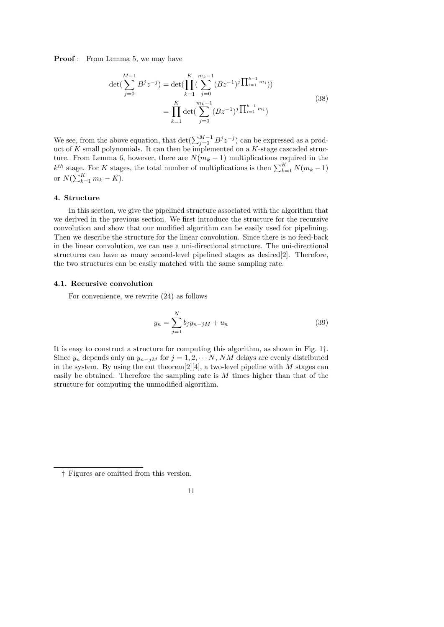**Proof**: From Lemma 5, we may have

$$
\det(\sum_{j=0}^{M-1} B^j z^{-j}) = \det(\prod_{k=1}^K (\sum_{j=0}^{m_k-1} (B z^{-1})^j \prod_{i=1}^{k-1} m_i))
$$
  

$$
= \prod_{k=1}^K \det(\sum_{j=0}^{m_k-1} (B z^{-1})^j \prod_{i=1}^{k-1} m_i)
$$
 (38)

We see, from the above equation, that  $\det(\sum_{j=0}^{M-1} B^j z^{-j})$  can be expressed as a product of K small polynomials. It can then be implemented on a K-stage cascaded structure. From Lemma 6, however, there are  $N(m_k - 1)$  multiplications required in the  $k^{th}$  stage. For K stages, the total number of multiplications is then  $\sum_{k=1}^{K} N(m_k - 1)$ or  $N(\sum_{k=1}^K m_k - K)$ .

## 4. Structure

In this section, we give the pipelined structure associated with the algorithm that we derived in the previous section. We first introduce the structure for the recursive convolution and show that our modified algorithm can be easily used for pipelining. Then we describe the structure for the linear convolution. Since there is no feed-back in the linear convolution, we can use a uni-directional structure. The uni-directional structures can have as many second-level pipelined stages as desired[2]. Therefore, the two structures can be easily matched with the same sampling rate.

#### 4.1. Recursive convolution

For convenience, we rewrite (24) as follows

$$
y_n = \sum_{j=1}^{N} b_j y_{n-jM} + u_n
$$
\n(39)

It is easy to construct a structure for computing this algorithm, as shown in Fig. 1†. Since  $y_n$  depends only on  $y_{n-jM}$  for  $j = 1, 2, \cdots N$ , NM delays are evenly distributed in the system. By using the cut theorem  $[2][4]$ , a two-level pipeline with M stages can easily be obtained. Therefore the sampling rate is M times higher than that of the structure for computing the unmodified algorithm.

$$
11\,
$$

<sup>†</sup> Figures are omitted from this version.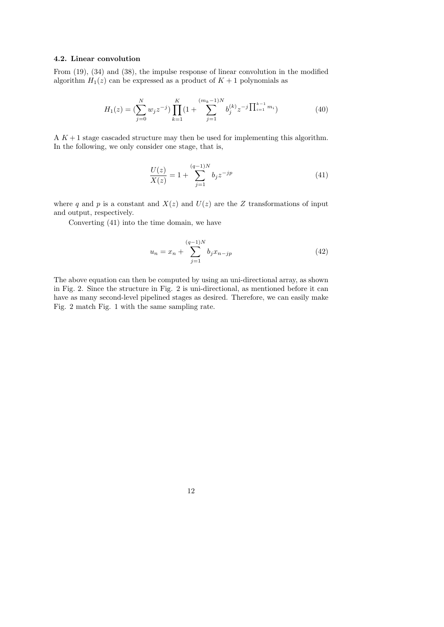### 4.2. Linear convolution

From (19), (34) and (38), the impulse response of linear convolution in the modified algorithm  $H_1(z)$  can be expressed as a product of  $K + 1$  polynomials as

$$
H_1(z) = \left(\sum_{j=0}^N w_j z^{-j}\right) \prod_{k=1}^K \left(1 + \sum_{j=1}^{(m_k - 1)N} b_j^{(k)} z^{-j} \prod_{i=1}^{k-1} m_i\right)
$$
(40)

A  $K + 1$  stage cascaded structure may then be used for implementing this algorithm. In the following, we only consider one stage, that is,

$$
\frac{U(z)}{X(z)} = 1 + \sum_{j=1}^{(q-1)N} b_j z^{-jp} \tag{41}
$$

where q and p is a constant and  $X(z)$  and  $U(z)$  are the Z transformations of input and output, respectively.

Converting (41) into the time domain, we have

$$
u_n = x_n + \sum_{j=1}^{(q-1)N} b_j x_{n-jp}
$$
 (42)

The above equation can then be computed by using an uni-directional array, as shown in Fig. 2. Since the structure in Fig. 2 is uni-directional, as mentioned before it can have as many second-level pipelined stages as desired. Therefore, we can easily make Fig. 2 match Fig. 1 with the same sampling rate.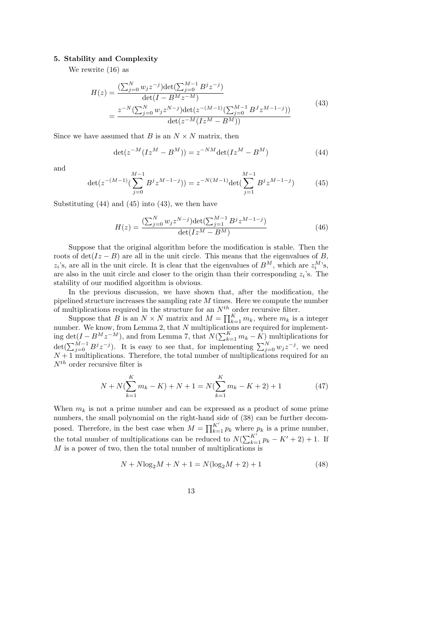# 5. Stability and Complexity

We rewrite (16) as

$$
H(z) = \frac{\left(\sum_{j=0}^{N} w_j z^{-j}\right) \det\left(\sum_{j=0}^{M-1} B^j z^{-j}\right)}{\det(I - B^M z^{-M})}
$$
  
= 
$$
\frac{z^{-N} \left(\sum_{j=0}^{N} w_j z^{N-j}\right) \det\left(z^{-(M-1)} \left(\sum_{j=0}^{M-1} B^J z^{M-1-j}\right)\right)}{\det\left(z^{-M} (I z^M - B^M)\right)}
$$
(43)

Since we have assumed that B is an  $N \times N$  matrix, then

$$
\det(z^{-M}(Iz^{M} - B^{M})) = z^{-NM} \det(Iz^{M} - B^{M})
$$
\n(44)

and

$$
\det(z^{-(M-1)}(\sum_{j=0}^{M-1} B^j z^{M-1-j})) = z^{-N(M-1)} \det(\sum_{j=1}^{M-1} B^j z^{M-1-j})
$$
 (45)

Substituting  $(44)$  and  $(45)$  into  $(43)$ , we then have

$$
H(z) = \frac{\left(\sum_{j=0}^{N} w_j z^{N-j}\right) \det\left(\sum_{j=1}^{M-1} B^j z^{M-1-j}\right)}{\det(I z^M - B^M)}
$$
(46)

Suppose that the original algorithm before the modification is stable. Then the roots of  $\det(Iz - B)$  are all in the unit circle. This means that the eigenvalues of B,  $z_i$ 's, are all in the unit circle. It is clear that the eigenvalues of  $B^M$ , which are  $z_i^M$ 's, are also in the unit circle and closer to the origin than their corresponding  $z_i$ 's. The stability of our modified algorithm is obvious.

In the previous discussion, we have shown that, after the modification, the pipelined structure increases the sampling rate  $M$  times. Here we compute the number of multiplications required in the structure for an  $N^{th}$  order recursive filter.

Suppose that B is an  $N \times N$  matrix and  $M = \prod_{k=1}^{K} m_k$ , where  $m_k$  is a integer number. We know, from Lemma 2, that N multiplications are required for implementing det( $I - B^M z^{-M}$ ), and from Lemma 7, that  $N(\sum_{k=1}^K m_k - \overline{K})$  multiplications for  $\det(\sum_{j=0}^{M-1} B^j z^{-j}).$  It is easy to see that, for implementing  $\sum_{j=0}^{N} w_j z^{-j}$ , we need  $N+1$  multiplications. Therefore, the total number of multiplications required for an  $N^{th}$  order recursive filter is

$$
N + N(\sum_{k=1}^{K} m_k - K) + N + 1 = N(\sum_{k=1}^{K} m_k - K + 2) + 1
$$
 (47)

When  $m_k$  is not a prime number and can be expressed as a product of some prime numbers, the small polynomial on the right-hand side of (38) can be further decomposed. Therefore, in the best case when  $M = \prod_{k=1}^{K'} p_k$  where  $p_k$  is a prime number, the total number of multiplications can be reduced to  $N(\sum_{k=1}^{K'} p_k - K' + 2) + 1$ . If M is a power of two, then the total number of multiplications is

$$
N + N \log_2 M + N + 1 = N(\log_2 M + 2) + 1 \tag{48}
$$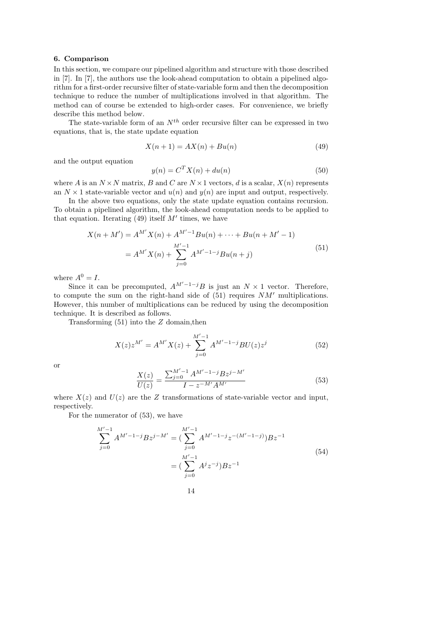# 6. Comparison

In this section, we compare our pipelined algorithm and structure with those described in [7]. In [7], the authors use the look-ahead computation to obtain a pipelined algorithm for a first-order recursive filter of state-variable form and then the decomposition technique to reduce the number of multiplications involved in that algorithm. The method can of course be extended to high-order cases. For convenience, we briefly describe this method below.

The state-variable form of an  $N^{th}$  order recursive filter can be expressed in two equations, that is, the state update equation

$$
X(n+1) = AX(n) + Bu(n)
$$
\n
$$
(49)
$$

and the output equation

$$
y(n) = CT X(n) + du(n)
$$
\n(50)

where A is an  $N \times N$  matrix, B and C are  $N \times 1$  vectors, d is a scalar,  $X(n)$  represents an  $N \times 1$  state-variable vector and  $u(n)$  and  $y(n)$  are input and output, respectively.

In the above two equations, only the state update equation contains recursion. To obtain a pipelined algorithm, the look-ahead computation needs to be applied to that equation. Iterating  $(49)$  itself M' times, we have

$$
X(n + M') = A^{M'} X(n) + A^{M'-1} B u(n) + \dots + B u(n + M' - 1)
$$
  
=  $A^{M'} X(n) + \sum_{j=0}^{M'-1} A^{M'-1-j} B u(n + j)$  (51)

where  $A^0 = I$ .

Since it can be precomputed,  $A^{M'-1-j}B$  is just an  $N \times 1$  vector. Therefore, to compute the sum on the right-hand side of  $(51)$  requires  $NM'$  multiplications. However, this number of multiplications can be reduced by using the decomposition technique. It is described as follows.

Transforming  $(51)$  into the Z domain, then

$$
X(z)z^{M'} = A^{M'}X(z) + \sum_{j=0}^{M'-1} A^{M'-1-j}BU(z)z^j
$$
 (52)

or

$$
\frac{X(z)}{U(z)} = \frac{\sum_{j=0}^{M'-1} A^{M'-1-j} B z^{j-M'}}{I - z^{-M'} A^{M'}}\tag{53}
$$

where  $X(z)$  and  $U(z)$  are the Z transformations of state-variable vector and input, respectively.

For the numerator of (53), we have

$$
\sum_{j=0}^{M'-1} A^{M'-1-j} B z^{j-M'} = \left( \sum_{j=0}^{M'-1} A^{M'-1-j} z^{-(M'-1-j)} \right) B z^{-1}
$$
  
= 
$$
\left( \sum_{j=0}^{M'-1} A^j z^{-j} \right) B z^{-1}
$$
 (54)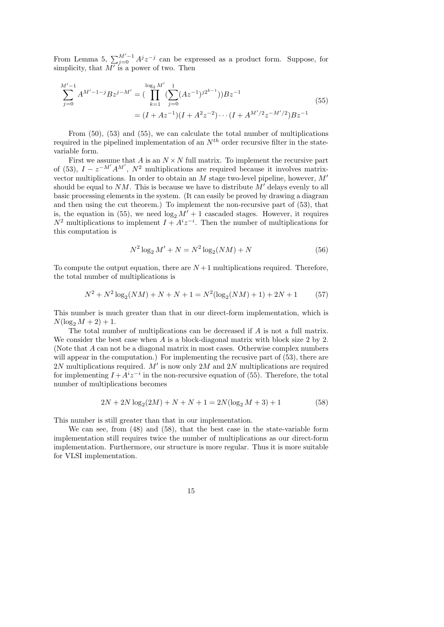From Lemma 5,  $\sum_{j=0}^{M'-1} A^j z^{-j}$  can be expressed as a product form. Suppose, for simplicity, that  $\overline{M'}$  is a power of two. Then

$$
\sum_{j=0}^{M'-1} A^{M'-1-j} B z^{j-M'} = \left( \prod_{k=1}^{\log_2 M'} \left( \sum_{j=0}^1 (Az^{-1})^{j2^{k-1}} \right) \right) B z^{-1}
$$
\n
$$
= (I + Az^{-1})(I + A^2 z^{-2}) \cdots (I + A^{M'/2} z^{-M'/2}) B z^{-1}
$$
\n(55)

From (50), (53) and (55), we can calculate the total number of multiplications required in the pipelined implementation of an  $N^{th}$  order recursive filter in the statevariable form.

First we assume that A is an  $N \times N$  full matrix. To implement the recursive part of (53),  $I - z^{-M'} A^{M'}$ ,  $N^2$  multiplications are required because it involves matrixvector multiplications. In order to obtain an  $M$  stage two-level pipeline, however,  $M'$ should be equal to  $NM$ . This is because we have to distribute  $M'$  delays evenly to all basic processing elements in the system. (It can easily be proved by drawing a diagram and then using the cut theorem.) To implement the non-recursive part of (53), that is, the equation in (55), we need  $\log_2 M' + 1$  cascaded stages. However, it requires  $N^2$  multiplications to implement  $I + A^i z^{-i}$ . Then the number of multiplications for this computation is

$$
N^2 \log_2 M' + N = N^2 \log_2(NM) + N \tag{56}
$$

To compute the output equation, there are  $N+1$  multiplications required. Therefore, the total number of multiplications is

$$
N^2 + N^2 \log_2(NM) + N + N + 1 = N^2(\log_2(NM) + 1) + 2N + 1 \tag{57}
$$

This number is much greater than that in our direct-form implementation, which is  $N(\log_2 M + 2) + 1.$ 

The total number of multiplications can be decreased if A is not a full matrix. We consider the best case when A is a block-diagonal matrix with block size 2 by 2. (Note that A can not be a diagonal matrix in most cases. Otherwise complex numbers will appear in the computation.) For implementing the recusive part of  $(53)$ , there are 2N multiplications required.  $\overline{M'}$  is now only 2M and 2N multiplications are required for implementing  $I + A^{i}z^{-i}$  in the non-recursive equation of (55). Therefore, the total number of multiplications becomes

$$
2N + 2N \log_2(2M) + N + N + 1 = 2N(\log_2 M + 3) + 1 \tag{58}
$$

This number is still greater than that in our implementation.

We can see, from (48) and (58), that the best case in the state-variable form implementation still requires twice the number of multiplications as our direct-form implementation. Furthermore, our structure is more regular. Thus it is more suitable for VLSI implementation.

15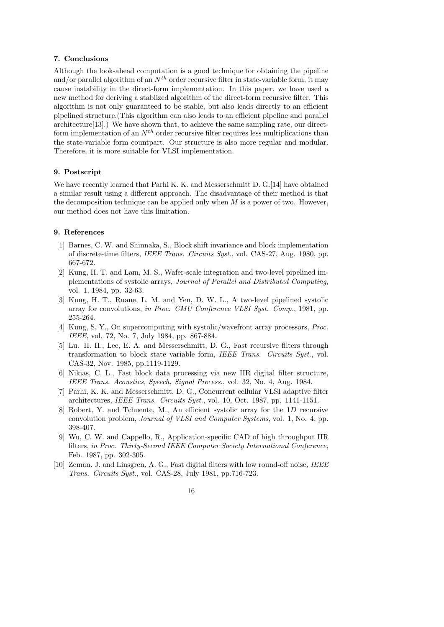# 7. Conclusions

Although the look-ahead computation is a good technique for obtaining the pipeline and/or parallel algorithm of an  $N^{th}$  order recursive filter in state-variable form, it may cause instability in the direct-form implementation. In this paper, we have used a new method for deriving a stablized algorithm of the direct-form recursive filter. This algorithm is not only guaranteed to be stable, but also leads directly to an efficient pipelined structure.(This algorithm can also leads to an efficient pipeline and parallel architecture[13].) We have shown that, to achieve the same sampling rate, our directform implementation of an  $N^{th}$  order recursive filter requires less multiplications than the state-variable form countpart. Our structure is also more regular and modular. Therefore, it is more suitable for VLSI implementation.

# 9. Postscript

We have recently learned that Parhi K. K. and Messerschmitt D. G. [14] have obtained a similar result using a different approach. The disadvantage of their method is that the decomposition technique can be applied only when  $M$  is a power of two. However, our method does not have this limitation.

#### 9. References

- [1] Barnes, C. W. and Shinnaka, S., Block shift invariance and block implementation of discrete-time filters, IEEE Trans. Circuits Syst., vol. CAS-27, Aug. 1980, pp. 667-672.
- [2] Kung, H. T. and Lam, M. S., Wafer-scale integration and two-level pipelined implementations of systolic arrays, Journal of Parallel and Distributed Computing, vol. 1, 1984, pp. 32-63.
- [3] Kung, H. T., Ruane, L. M. and Yen, D. W. L., A two-level pipelined systolic array for convolutions, in Proc. CMU Conference VLSI Syst. Comp., 1981, pp. 255-264.
- [4] Kung, S. Y., On supercomputing with systolic/wavefront array processors, Proc. IEEE, vol. 72, No. 7, July 1984, pp. 867-884.
- [5] Lu. H. H., Lee, E. A. and Messerschmitt, D. G., Fast recursive filters through transformation to block state variable form, IEEE Trans. Circuits Syst., vol. CAS-32, Nov. 1985, pp.1119-1129.
- [6] Nikias, C. L., Fast block data processing via new IIR digital filter structure, IEEE Trans. Acoustics, Speech, Signal Process., vol. 32, No. 4, Aug. 1984.
- [7] Parhi, K. K. and Messerschmitt, D. G., Concurrent cellular VLSI adaptive filter architectures, IEEE Trans. Circuits Syst., vol. 10, Oct. 1987, pp. 1141-1151.
- [8] Robert, Y. and Tchuente, M., An efficient systolic array for the 1D recursive convolution problem, Journal of VLSI and Computer Systems, vol. 1, No. 4, pp. 398-407.
- [9] Wu, C. W. and Cappello, R., Application-specific CAD of high throughput IIR filters, in Proc. Thirty-Second IEEE Computer Society International Conference, Feb. 1987, pp. 302-305.
- [10] Zeman, J. and Linsgren, A. G., Fast digital filters with low round-off noise, IEEE Trans. Circuits Syst., vol. CAS-28, July 1981, pp.716-723.
	- 16